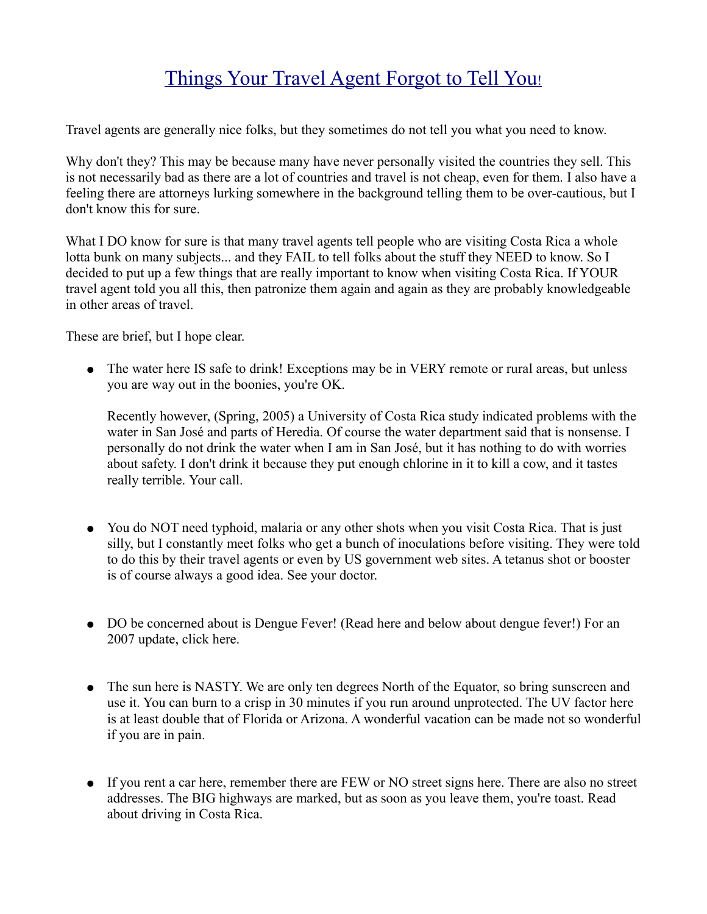## [Things Your Travel Agent Forgot to Tell You](http://www.therealcostarica.com/travel_costa_rica/travelagent_forgot.html)!

Travel agents are generally nice folks, but they sometimes do not tell you what you need to know.

Why don't they? This may be because many have never personally visited the countries they sell. This is not necessarily bad as there are a lot of countries and travel is not cheap, even for them. I also have a feeling there are attorneys lurking somewhere in the background telling them to be over-cautious, but I don't know this for sure.

What I DO know for sure is that many travel agents tell people who are visiting Costa Rica a whole lotta bunk on many subjects... and they FAIL to tell folks about the stuff they NEED to know. So I decided to put up a few things that are really important to know when visiting Costa Rica. If YOUR travel agent told you all this, then patronize them again and again as they are probably knowledgeable in other areas of travel.

These are brief, but I hope clear.

• The water here IS safe to drink! Exceptions may be in VERY remote or rural areas, but unless you are way out in the boonies, you're OK.

Recently however, (Spring, 2005) a University of Costa Rica study indicated problems with the water in San José and parts of Heredia. Of course the water department said that is nonsense. I personally do not drink the water when I am in San José, but it has nothing to do with worries about safety. I don't drink it because they put enough chlorine in it to kill a cow, and it tastes really terrible. Your call.

- You do NOT need typhoid, malaria or any other shots when you visit Costa Rica. That is just silly, but I constantly meet folks who get a bunch of inoculations before visiting. They were told to do this by their travel agents or even by US government web sites. A tetanus shot or booster is of course always a good idea. See your doctor.
- DO be concerned about is Dengue Fever! (Read here and below about dengue fever!) For an 2007 update, click here.
- The sun here is NASTY. We are only ten degrees North of the Equator, so bring sunscreen and use it. You can burn to a crisp in 30 minutes if you run around unprotected. The UV factor here is at least double that of Florida or Arizona. A wonderful vacation can be made not so wonderful if you are in pain.
- If you rent a car here, remember there are FEW or NO street signs here. There are also no street addresses. The BIG highways are marked, but as soon as you leave them, you're toast. Read about driving in Costa Rica.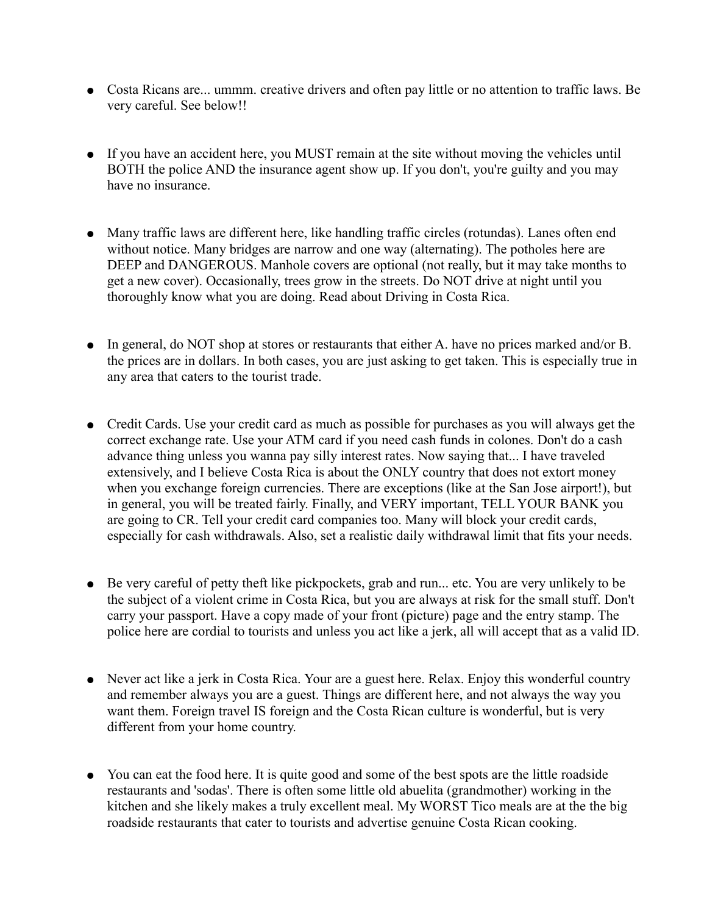- Costa Ricans are... ummm. creative drivers and often pay little or no attention to traffic laws. Be very careful. See below!!
- If you have an accident here, you MUST remain at the site without moving the vehicles until BOTH the police AND the insurance agent show up. If you don't, you're guilty and you may have no insurance.
- Many traffic laws are different here, like handling traffic circles (rotundas). Lanes often end without notice. Many bridges are narrow and one way (alternating). The potholes here are DEEP and DANGEROUS. Manhole covers are optional (not really, but it may take months to get a new cover). Occasionally, trees grow in the streets. Do NOT drive at night until you thoroughly know what you are doing. Read about Driving in Costa Rica.
- In general, do NOT shop at stores or restaurants that either A. have no prices marked and/or B. the prices are in dollars. In both cases, you are just asking to get taken. This is especially true in any area that caters to the tourist trade.
- Credit Cards. Use your credit card as much as possible for purchases as you will always get the correct exchange rate. Use your ATM card if you need cash funds in colones. Don't do a cash advance thing unless you wanna pay silly interest rates. Now saying that... I have traveled extensively, and I believe Costa Rica is about the ONLY country that does not extort money when you exchange foreign currencies. There are exceptions (like at the San Jose airport!), but in general, you will be treated fairly. Finally, and VERY important, TELL YOUR BANK you are going to CR. Tell your credit card companies too. Many will block your credit cards, especially for cash withdrawals. Also, set a realistic daily withdrawal limit that fits your needs.
- Be very careful of petty theft like pickpockets, grab and run... etc. You are very unlikely to be the subject of a violent crime in Costa Rica, but you are always at risk for the small stuff. Don't carry your passport. Have a copy made of your front (picture) page and the entry stamp. The police here are cordial to tourists and unless you act like a jerk, all will accept that as a valid ID.
- Never act like a jerk in Costa Rica. Your are a guest here. Relax. Enjoy this wonderful country and remember always you are a guest. Things are different here, and not always the way you want them. Foreign travel IS foreign and the Costa Rican culture is wonderful, but is very different from your home country.
- You can eat the food here. It is quite good and some of the best spots are the little roadside restaurants and 'sodas'. There is often some little old abuelita (grandmother) working in the kitchen and she likely makes a truly excellent meal. My WORST Tico meals are at the the big roadside restaurants that cater to tourists and advertise genuine Costa Rican cooking.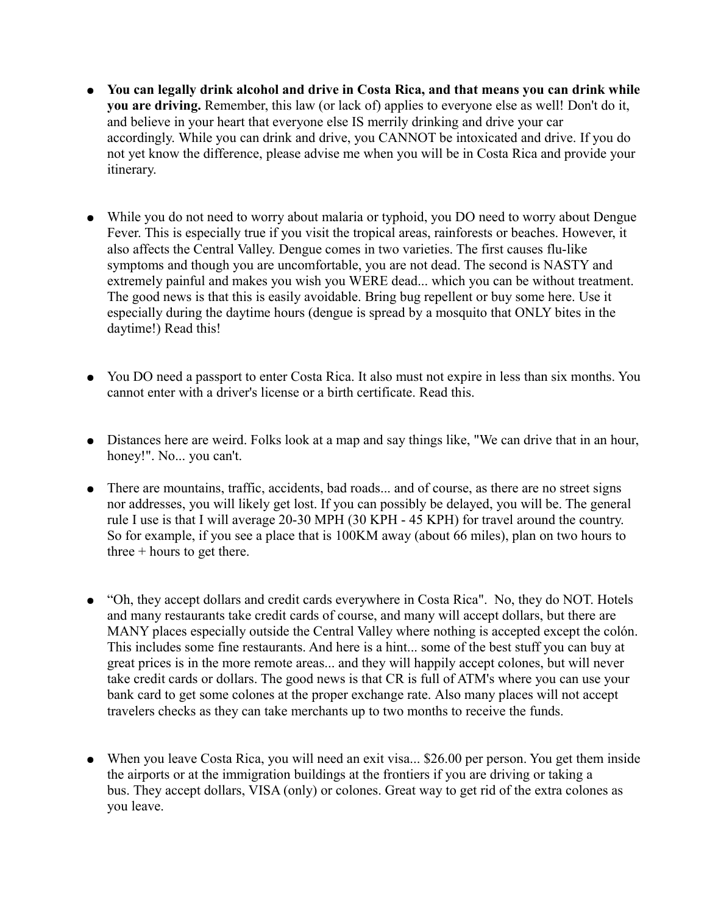- **You can legally drink alcohol and drive in Costa Rica, and that means you can drink while you are driving.** Remember, this law (or lack of) applies to everyone else as well! Don't do it, and believe in your heart that everyone else IS merrily drinking and drive your car accordingly. While you can drink and drive, you CANNOT be intoxicated and drive. If you do not yet know the difference, please advise me when you will be in Costa Rica and provide your itinerary.
- While you do not need to worry about malaria or typhoid, you DO need to worry about Dengue Fever. This is especially true if you visit the tropical areas, rainforests or beaches. However, it also affects the Central Valley. Dengue comes in two varieties. The first causes flu-like symptoms and though you are uncomfortable, you are not dead. The second is NASTY and extremely painful and makes you wish you WERE dead... which you can be without treatment. The good news is that this is easily avoidable. Bring bug repellent or buy some here. Use it especially during the daytime hours (dengue is spread by a mosquito that ONLY bites in the daytime!) Read this!
- You DO need a passport to enter Costa Rica. It also must not expire in less than six months. You cannot enter with a driver's license or a birth certificate. Read this.
- Distances here are weird. Folks look at a map and say things like, "We can drive that in an hour, honey!". No... you can't.
- There are mountains, traffic, accidents, bad roads... and of course, as there are no street signs nor addresses, you will likely get lost. If you can possibly be delayed, you will be. The general rule I use is that I will average 20-30 MPH (30 KPH - 45 KPH) for travel around the country. So for example, if you see a place that is 100KM away (about 66 miles), plan on two hours to three + hours to get there.
- "Oh, they accept dollars and credit cards everywhere in Costa Rica". No, they do NOT. Hotels and many restaurants take credit cards of course, and many will accept dollars, but there are MANY places especially outside the Central Valley where nothing is accepted except the colón. This includes some fine restaurants. And here is a hint... some of the best stuff you can buy at great prices is in the more remote areas... and they will happily accept colones, but will never take credit cards or dollars. The good news is that CR is full of ATM's where you can use your bank card to get some colones at the proper exchange rate. Also many places will not accept travelers checks as they can take merchants up to two months to receive the funds.
- When you leave Costa Rica, you will need an exit visa... \$26.00 per person. You get them inside the airports or at the immigration buildings at the frontiers if you are driving or taking a bus. They accept dollars, VISA (only) or colones. Great way to get rid of the extra colones as you leave.